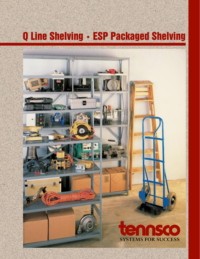# Q Line Shelving • ESP Packaged Shelving

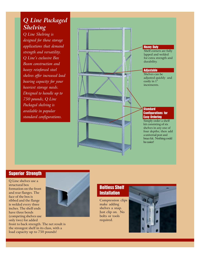## *Q Line Packaged Shelving*

*Q Line Shelving is designed for those storage applications that demand strength and versatility. Q Line's exclusive Box Beam construction and heavy reinforced steel shelves offer increased load bearing capacity for your heaviest storage needs. Designed to handle up to 750 pounds, Q Line Packaged shelving is available in popular standard configurations.*



### Superior Strength

Q Line shelves use a structural box formation on the front and rear flanges. The face of the box is ribbed and the flange is welded every three inches. The shelf ends have three bends (competing shelves use only two) for added

front to back strength. The net result is the strongest shelf in its class, with a load capacity up to 750 pounds!



## Boltless Shelf **Installation**

Compression clips make adding shelves a snap. Just clip on. No bolts or tools required.

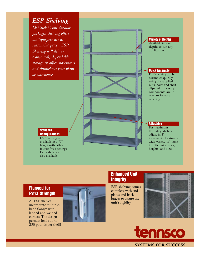*ESP Shelving Lightweight but durable packaged shelving offers multipurpose use at a reasonable price. ESP Shelving will deliver economical, dependable storage in office stockrooms and throughout your plant or warehouse.*

Variety of Depths Available in four depths to suit any application.

#### Quick Assembly

ESP shelving can be assembled quickly using the supplied nuts, bolts and shelf clips. All necessary components are in one box for easy ordering.

#### **Adjustable**

For maximum flexibility, shelves adjust in 1" increments to store a wide variety of items in different shapes, heights, and sizes.

#### **Standard Configurations**

ESP shelving is available in a 75" height with either four or five openings. Extra shelves are also available.

## Flanged for Extra Strength

All ESP shelves incorporate multiplebend flanges with lapped and welded corners. The design permits loads up to 250 pounds per shelf!



## Enhanced Unit **Integrity**

ESP shelving comes complete with end plates and back braces to assure the unit's rigidity.